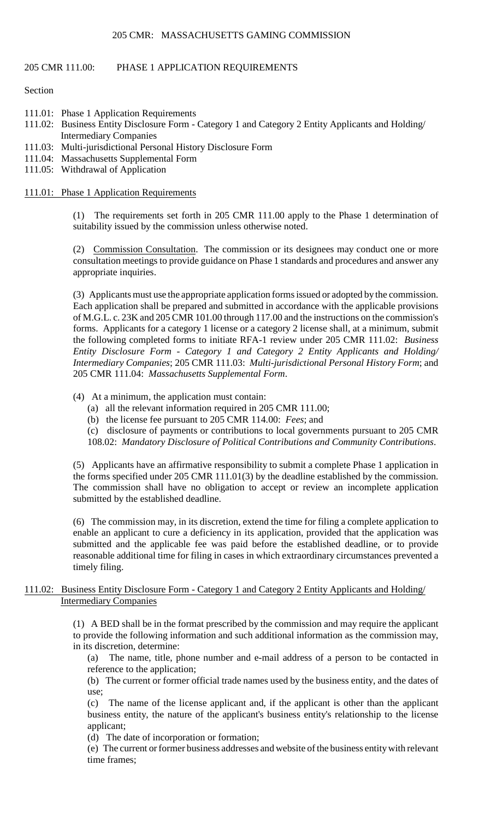### 205 CMR 111.00: PHASE 1 APPLICATION REQUIREMENTS

Section

- 111.01: Phase 1 Application Requirements
- 111.02: Business Entity Disclosure Form Category 1 and Category 2 Entity Applicants and Holding/ Intermediary Companies
- 111.03: Multi-jurisdictional Personal History Disclosure Form
- 111.04: Massachusetts Supplemental Form
- 111.05: Withdrawal of Application

### 111.01: Phase 1 Application Requirements

 (1) The requirements set forth in 205 CMR 111.00 apply to the Phase 1 determination of suitability issued by the commission unless otherwise noted.

(2) Commission Consultation. The commission or its designees may conduct one or more consultation meetings to provide guidance on Phase 1 standards and procedures and answer any appropriate inquiries.

 (3) Applicants must use the appropriate application forms issued or adopted by the commission. of M.G.L. c. 23K and 205 CMR 101.00 through 117.00 and the instructions on the commission's forms. Applicants for a category 1 license or a category 2 license shall, at a minimum, submit Each application shall be prepared and submitted in accordance with the applicable provisions the following completed forms to initiate RFA-1 review under 205 CMR 111.02: *Business Entity Disclosure Form - Category 1 and Category 2 Entity Applicants and Holding/ Intermediary Companies*; 205 CMR 111.03: *Multi-jurisdictional Personal History Form*; and 205 CMR 111.04: *Massachusetts Supplemental Form*.

### (4) At a minimum, the application must contain:

- (a) all the relevant information required in 205 CMR 111.00;
- (b) the license fee pursuant to 205 CMR 114.00: *Fees*; and
- (c) disclosure of payments or contributions to local governments pursuant to 205 CMR
- 108.02: *Mandatory Disclosure of Political Contributions and Community Contributions*.

 (5) Applicants have an affirmative responsibility to submit a complete Phase 1 application in the forms specified under 205 CMR 111.01(3) by the deadline established by the commission. The commission shall have no obligation to accept or review an incomplete application submitted by the established deadline.

 (6) The commission may, in its discretion, extend the time for filing a complete application to enable an applicant to cure a deficiency in its application, provided that the application was submitted and the applicable fee was paid before the established deadline, or to provide reasonable additional time for filing in cases in which extraordinary circumstances prevented a timely filing.

## 111.02: Business Entity Disclosure Form - Category 1 and Category 2 Entity Applicants and Holding/ Intermediary Companies

 to provide the following information and such additional information as the commission may, (1) A BED shall be in the format prescribed by the commission and may require the applicant in its discretion, determine:

(a) The name, title, phone number and e-mail address of a person to be contacted in reference to the application;

(b) The current or former official trade names used by the business entity, and the dates of use;

(c) The name of the license applicant and, if the applicant is other than the applicant business entity, the nature of the applicant's business entity's relationship to the license applicant;

(d) The date of incorporation or formation;

 (e) The current or former business addresses and website of the business entity with relevant time frames;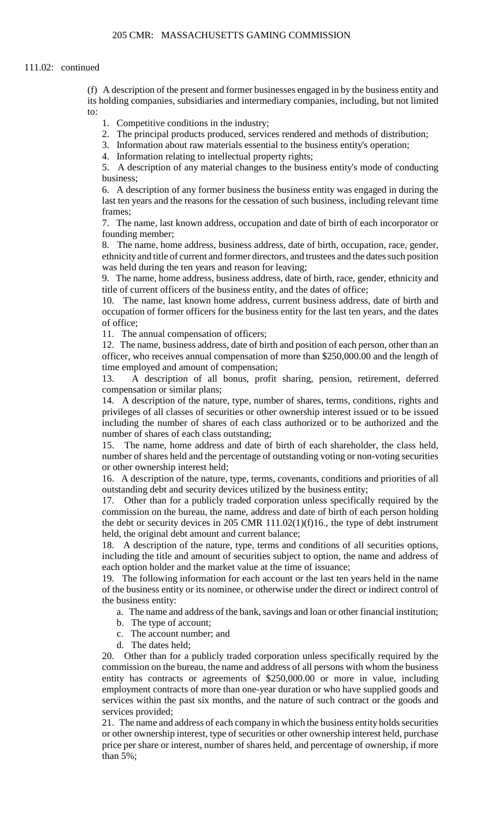#### 111.02: continued

(f) A description of the present and former businesses engaged in by the business entity and its holding companies, subsidiaries and intermediary companies, including, but not limited to:

- 1. Competitive conditions in the industry;
- 2. The principal products produced, services rendered and methods of distribution;
- 3. Information about raw materials essential to the business entity's operation;
- 4. Information relating to intellectual property rights;

5. A description of any material changes to the business entity's mode of conducting business;

 6. A description of any former business the business entity was engaged in during the last ten years and the reasons for the cessation of such business, including relevant time frames;

7. The name, last known address, occupation and date of birth of each incorporator or founding member;

8. The name, home address, business address, date of birth, occupation, race, gender, ethnicity and title of current and former directors, and trustees and the dates such position was held during the ten years and reason for leaving;

9. The name, home address, business address, date of birth, race, gender, ethnicity and title of current officers of the business entity, and the dates of office;

 10. The name, last known home address, current business address, date of birth and occupation of former officers for the business entity for the last ten years, and the dates of office;

11. The annual compensation of officers;

12. The name, business address, date of birth and position of each person, other than an officer, who receives annual compensation of more than \$250,000.00 and the length of time employed and amount of compensation;

13. A description of all bonus, profit sharing, pension, retirement, deferred compensation or similar plans;

 14. A description of the nature, type, number of shares, terms, conditions, rights and privileges of all classes of securities or other ownership interest issued or to be issued including the number of shares of each class authorized or to be authorized and the number of shares of each class outstanding;

15. The name, home address and date of birth of each shareholder, the class held, number of shares held and the percentage of outstanding voting or non-voting securities or other ownership interest held;

16. A description of the nature, type, terms, covenants, conditions and priorities of all outstanding debt and security devices utilized by the business entity;

17. Other than for a publicly traded corporation unless specifically required by the commission on the bureau, the name, address and date of birth of each person holding the debt or security devices in 205 CMR  $111.02(1)(f)16$ ., the type of debt instrument held, the original debt amount and current balance;

 including the title and amount of securities subject to option, the name and address of 18. A description of the nature, type, terms and conditions of all securities options, each option holder and the market value at the time of issuance;

19. The following information for each account or the last ten years held in the name of the business entity or its nominee, or otherwise under the direct or indirect control of the business entity:

a. The name and address of the bank, savings and loan or other financial institution;

- b. The type of account;
- c. The account number; and
- d. The dates held;

 commission on the bureau, the name and address of all persons with whom the business 20. Other than for a publicly traded corporation unless specifically required by the entity has contracts or agreements of \$250,000.00 or more in value, including employment contracts of more than one-year duration or who have supplied goods and services within the past six months, and the nature of such contract or the goods and services provided;

21. The name and address of each company in which the business entity holds securities or other ownership interest, type of securities or other ownership interest held, purchase price per share or interest, number of shares held, and percentage of ownership, if more than 5%;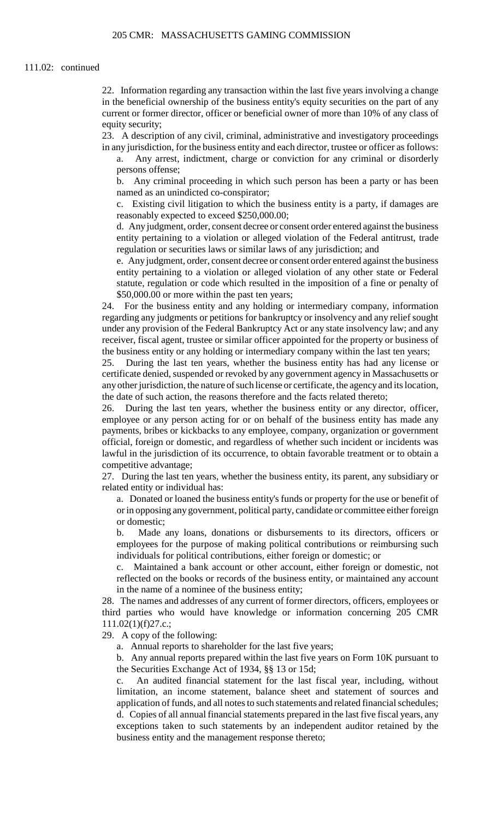22. Information regarding any transaction within the last five years involving a change in the beneficial ownership of the business entity's equity securities on the part of any current or former director, officer or beneficial owner of more than 10% of any class of equity security;

23. A description of any civil, criminal, administrative and investigatory proceedings in any jurisdiction, for the business entity and each director, trustee or officer as follows:

a. Any arrest, indictment, charge or conviction for any criminal or disorderly persons offense;

 b. Any criminal proceeding in which such person has been a party or has been named as an unindicted co-conspirator;

c. Existing civil litigation to which the business entity is a party, if damages are reasonably expected to exceed \$250,000.00;

d. Any judgment, order, consent decree or consent order entered against the business entity pertaining to a violation or alleged violation of the Federal antitrust, trade regulation or securities laws or similar laws of any jurisdiction; and

 e. Any judgment, order, consent decree or consent order entered against the business entity pertaining to a violation or alleged violation of any other state or Federal statute, regulation or code which resulted in the imposition of a fine or penalty of \$50,000.00 or more within the past ten years;

 regarding any judgments or petitions for bankruptcy or insolvency and any relief sought 24. For the business entity and any holding or intermediary company, information under any provision of the Federal Bankruptcy Act or any state insolvency law; and any receiver, fiscal agent, trustee or similar officer appointed for the property or business of the business entity or any holding or intermediary company within the last ten years;

 certificate denied, suspended or revoked by any government agency in Massachusetts or 25. During the last ten years, whether the business entity has had any license or any other jurisdiction, the nature of such license or certificate, the agency and its location, the date of such action, the reasons therefore and the facts related thereto;

26. During the last ten years, whether the business entity or any director, officer, employee or any person acting for or on behalf of the business entity has made any payments, bribes or kickbacks to any employee, company, organization or government official, foreign or domestic, and regardless of whether such incident or incidents was lawful in the jurisdiction of its occurrence, to obtain favorable treatment or to obtain a competitive advantage;

27. During the last ten years, whether the business entity, its parent, any subsidiary or related entity or individual has:

a. Donated or loaned the business entity's funds or property for the use or benefit of or in opposing any government, political party, candidate or committee either foreign or domestic;

 b. Made any loans, donations or disbursements to its directors, officers or employees for the purpose of making political contributions or reimbursing such individuals for political contributions, either foreign or domestic; or

Maintained a bank account or other account, either foreign or domestic, not reflected on the books or records of the business entity, or maintained any account in the name of a nominee of the business entity;

28. The names and addresses of any current of former directors, officers, employees or third parties who would have knowledge or information concerning 205 CMR 111.02(1)(f)27.c.;

29. A copy of the following:

a. Annual reports to shareholder for the last five years;

b. Any annual reports prepared within the last five years on Form 10K pursuant to the Securities Exchange Act of 1934, §§ 13 or 15d;

 application of funds, and all notes to such statements and related financial schedules; d. Copies of all annual financial statements prepared in the last five fiscal years, any c. An audited financial statement for the last fiscal year, including, without limitation, an income statement, balance sheet and statement of sources and exceptions taken to such statements by an independent auditor retained by the business entity and the management response thereto;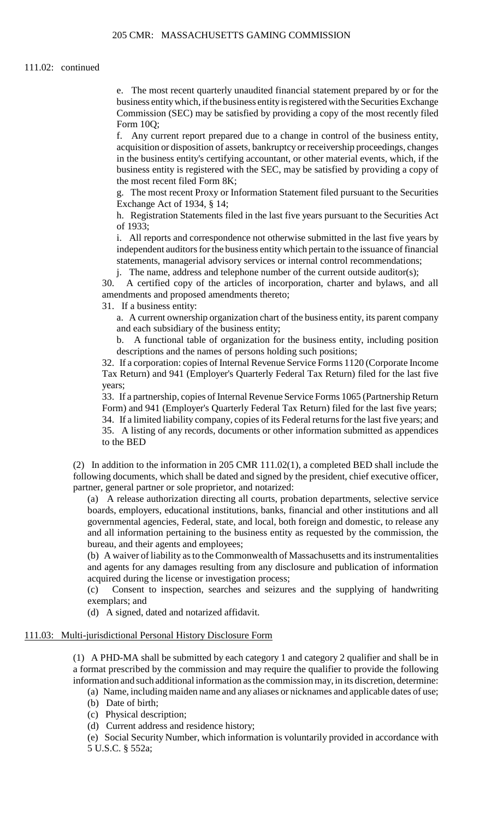### 111.02: continued

 Commission (SEC) may be satisfied by providing a copy of the most recently filed e. The most recent quarterly unaudited financial statement prepared by or for the business entity which, if the business entity is registered with the Securities Exchange Form 10Q;

f. Any current report prepared due to a change in control of the business entity, acquisition or disposition of assets, bankruptcy or receivership proceedings, changes in the business entity's certifying accountant, or other material events, which, if the business entity is registered with the SEC, may be satisfied by providing a copy of the most recent filed Form 8K;

 g. The most recent Proxy or Information Statement filed pursuant to the Securities Exchange Act of 1934, § 14;

h. Registration Statements filed in the last five years pursuant to the Securities Act of 1933;

i. All reports and correspondence not otherwise submitted in the last five years by independent auditors for the business entity which pertain to the issuance of financial statements, managerial advisory services or internal control recommendations;

j. The name, address and telephone number of the current outside auditor(s);

30. A certified copy of the articles of incorporation, charter and bylaws, and all amendments and proposed amendments thereto;

31. If a business entity:

a. A current ownership organization chart of the business entity, its parent company and each subsidiary of the business entity;

b. A functional table of organization for the business entity, including position descriptions and the names of persons holding such positions;

32. If a corporation: copies of Internal Revenue Service Forms 1120 (Corporate Income Tax Return) and 941 (Employer's Quarterly Federal Tax Return) filed for the last five years;

33. If a partnership, copies of Internal Revenue Service Forms 1065 (Partnership Return Form) and 941 (Employer's Quarterly Federal Tax Return) filed for the last five years; 34. If a limited liability company, copies of its Federal returns for the last five years; and

35. A listing of any records, documents or other information submitted as appendices to the BED

(2) In addition to the information in 205 CMR 111.02(1), a completed BED shall include the following documents, which shall be dated and signed by the president, chief executive officer, partner, general partner or sole proprietor, and notarized:

(a) A release authorization directing all courts, probation departments, selective service boards, employers, educational institutions, banks, financial and other institutions and all governmental agencies, Federal, state, and local, both foreign and domestic, to release any and all information pertaining to the business entity as requested by the commission, the bureau, and their agents and employees;

(b) A waiver of liability as to the Commonwealth of Massachusetts and its instrumentalities and agents for any damages resulting from any disclosure and publication of information acquired during the license or investigation process;

(c) Consent to inspection, searches and seizures and the supplying of handwriting exemplars; and

(d) A signed, dated and notarized affidavit.

### 111.03: Multi-jurisdictional Personal History Disclosure Form

(1) A PHD-MA shall be submitted by each category 1 and category 2 qualifier and shall be in a format prescribed by the commission and may require the qualifier to provide the following information and such additional information as the commission may, in its discretion, determine:

(a) Name, including maiden name and any aliases or nicknames and applicable dates of use;

- (b) Date of birth;
- (c) Physical description;
- (d) Current address and residence history;

 (e) Social Security Number, which information is voluntarily provided in accordance with 5 U.S.C. § 552a;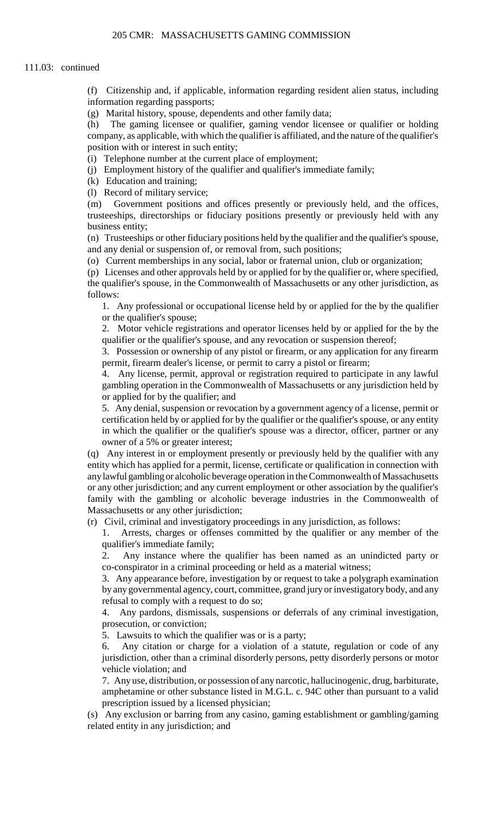(f) Citizenship and, if applicable, information regarding resident alien status, including information regarding passports;

(g) Marital history, spouse, dependents and other family data;

 company, as applicable, with which the qualifier is affiliated, and the nature of the qualifier's (h) The gaming licensee or qualifier, gaming vendor licensee or qualifier or holding position with or interest in such entity;

(i) Telephone number at the current place of employment;

(j) Employment history of the qualifier and qualifier's immediate family;

(k) Education and training;

(l) Record of military service;

 $(m)$ Government positions and offices presently or previously held, and the offices, trusteeships, directorships or fiduciary positions presently or previously held with any business entity;

(n) Trusteeships or other fiduciary positions held by the qualifier and the qualifier's spouse, and any denial or suspension of, or removal from, such positions;

(o) Current memberships in any social, labor or fraternal union, club or organization;

(p) Licenses and other approvals held by or applied for by the qualifier or, where specified,

the qualifier's spouse, in the Commonwealth of Massachusetts or any other jurisdiction, as follows:

 1. Any professional or occupational license held by or applied for the by the qualifier or the qualifier's spouse;

2. Motor vehicle registrations and operator licenses held by or applied for the by the qualifier or the qualifier's spouse, and any revocation or suspension thereof;

 3. Possession or ownership of any pistol or firearm, or any application for any firearm permit, firearm dealer's license, or permit to carry a pistol or firearm;

4. Any license, permit, approval or registration required to participate in any lawful gambling operation in the Commonwealth of Massachusetts or any jurisdiction held by or applied for by the qualifier; and

 5. Any denial, suspension or revocation by a government agency of a license, permit or certification held by or applied for by the qualifier or the qualifier's spouse, or any entity in which the qualifier or the qualifier's spouse was a director, officer, partner or any owner of a 5% or greater interest;

 entity which has applied for a permit, license, certificate or qualification in connection with or any other jurisdiction; and any current employment or other association by the qualifier's (q) Any interest in or employment presently or previously held by the qualifier with any any lawful gambling or alcoholic beverage operation in the Commonwealth of Massachusetts family with the gambling or alcoholic beverage industries in the Commonwealth of Massachusetts or any other jurisdiction;

(r) Civil, criminal and investigatory proceedings in any jurisdiction, as follows:

1. Arrests, charges or offenses committed by the qualifier or any member of the qualifier's immediate family;

2. Any instance where the qualifier has been named as an unindicted party or co-conspirator in a criminal proceeding or held as a material witness;

3. Any appearance before, investigation by or request to take a polygraph examination by any governmental agency, court, committee, grand jury or investigatory body, and any refusal to comply with a request to do so;

4. Any pardons, dismissals, suspensions or deferrals of any criminal investigation, prosecution, or conviction;

5. Lawsuits to which the qualifier was or is a party;

 jurisdiction, other than a criminal disorderly persons, petty disorderly persons or motor Any citation or charge for a violation of a statute, regulation or code of any vehicle violation; and

7. Any use, distribution, or possession of any narcotic, hallucinogenic, drug, barbiturate, amphetamine or other substance listed in M.G.L. c. 94C other than pursuant to a valid prescription issued by a licensed physician;

(s) Any exclusion or barring from any casino, gaming establishment or gambling/gaming related entity in any jurisdiction; and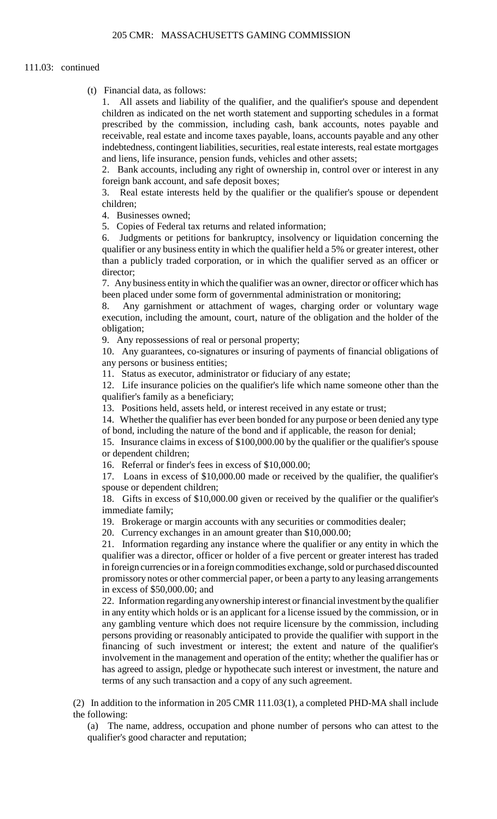### 111.03: continued

(t) Financial data, as follows:

 1. All assets and liability of the qualifier, and the qualifier's spouse and dependent children as indicated on the net worth statement and supporting schedules in a format prescribed by the commission, including cash, bank accounts, notes payable and receivable, real estate and income taxes payable, loans, accounts payable and any other indebtedness, contingent liabilities, securities, real estate interests, real estate mortgages and liens, life insurance, pension funds, vehicles and other assets;

 2. Bank accounts, including any right of ownership in, control over or interest in any foreign bank account, and safe deposit boxes;

3. Real estate interests held by the qualifier or the qualifier's spouse or dependent children;

4. Businesses owned;

5. Copies of Federal tax returns and related information;

6. Judgments or petitions for bankruptcy, insolvency or liquidation concerning the qualifier or any business entity in which the qualifier held a 5% or greater interest, other than a publicly traded corporation, or in which the qualifier served as an officer or director;

7. Any business entity in which the qualifier was an owner, director or officer which has been placed under some form of governmental administration or monitoring;

 8. Any garnishment or attachment of wages, charging order or voluntary wage execution, including the amount, court, nature of the obligation and the holder of the obligation;

9. Any repossessions of real or personal property;

10. Any guarantees, co-signatures or insuring of payments of financial obligations of any persons or business entities;

11. Status as executor, administrator or fiduciary of any estate;

12. Life insurance policies on the qualifier's life which name someone other than the qualifier's family as a beneficiary;

13. Positions held, assets held, or interest received in any estate or trust;

14. Whether the qualifier has ever been bonded for any purpose or been denied any type of bond, including the nature of the bond and if applicable, the reason for denial;

15. Insurance claims in excess of \$100,000.00 by the qualifier or the qualifier's spouse or dependent children;

16. Referral or finder's fees in excess of \$10,000.00;

 17. Loans in excess of \$10,000.00 made or received by the qualifier, the qualifier's spouse or dependent children;

18. Gifts in excess of \$10,000.00 given or received by the qualifier or the qualifier's immediate family;

19. Brokerage or margin accounts with any securities or commodities dealer;

20. Currency exchanges in an amount greater than \$10,000.00;

21. Information regarding any instance where the qualifier or any entity in which the qualifier was a director, officer or holder of a five percent or greater interest has traded in foreign currencies or in a foreign commodities exchange, sold or purchased discounted promissory notes or other commercial paper, or been a party to any leasing arrangements in excess of \$50,000.00; and

 in any entity which holds or is an applicant for a license issued by the commission, or in 22. Information regarding any ownership interest or financial investment by the qualifier any gambling venture which does not require licensure by the commission, including persons providing or reasonably anticipated to provide the qualifier with support in the financing of such investment or interest; the extent and nature of the qualifier's involvement in the management and operation of the entity; whether the qualifier has or has agreed to assign, pledge or hypothecate such interest or investment, the nature and terms of any such transaction and a copy of any such agreement.

(2) In addition to the information in 205 CMR 111.03(1), a completed PHD-MA shall include the following:

(a) The name, address, occupation and phone number of persons who can attest to the qualifier's good character and reputation;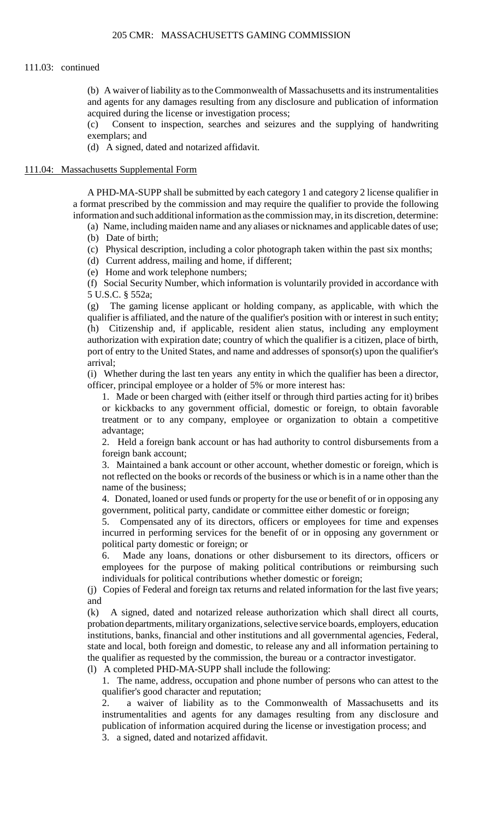#### 111.03: continued

 (b) A waiver of liability as to the Commonwealth of Massachusetts and its instrumentalities and agents for any damages resulting from any disclosure and publication of information acquired during the license or investigation process;

(c) Consent to inspection, searches and seizures and the supplying of handwriting exemplars; and

(d) A signed, dated and notarized affidavit.

### 111.04: Massachusetts Supplemental Form

 a format prescribed by the commission and may require the qualifier to provide the following A PHD-MA-SUPP shall be submitted by each category 1 and category 2 license qualifier in information and such additional information as the commission may, in its discretion, determine:

(a) Name, including maiden name and any aliases or nicknames and applicable dates of use; (b) Date of birth;

(c) Physical description, including a color photograph taken within the past six months;

(d) Current address, mailing and home, if different;

(e) Home and work telephone numbers;

 (f) Social Security Number, which information is voluntarily provided in accordance with 5 U.S.C. § 552a;

 qualifier is affiliated, and the nature of the qualifier's position with or interest in such entity; port of entry to the United States, and name and addresses of sponsor(s) upon the qualifier's (g) The gaming license applicant or holding company, as applicable, with which the (h) Citizenship and, if applicable, resident alien status, including any employment authorization with expiration date; country of which the qualifier is a citizen, place of birth, arrival;

 (i) Whether during the last ten years any entity in which the qualifier has been a director, officer, principal employee or a holder of 5% or more interest has:

 1. Made or been charged with (either itself or through third parties acting for it) bribes or kickbacks to any government official, domestic or foreign, to obtain favorable treatment or to any company, employee or organization to obtain a competitive advantage;

 2. Held a foreign bank account or has had authority to control disbursements from a foreign bank account;

 3. Maintained a bank account or other account, whether domestic or foreign, which is not reflected on the books or records of the business or which is in a name other than the name of the business;

4. Donated, loaned or used funds or property for the use or benefit of or in opposing any government, political party, candidate or committee either domestic or foreign;

5. Compensated any of its directors, officers or employees for time and expenses incurred in performing services for the benefit of or in opposing any government or political party domestic or foreign; or

 6. Made any loans, donations or other disbursement to its directors, officers or employees for the purpose of making political contributions or reimbursing such individuals for political contributions whether domestic or foreign;

 (j) Copies of Federal and foreign tax returns and related information for the last five years; and

(k) A signed, dated and notarized release authorization which shall direct all courts, probation departments, military organizations, selective service boards, employers, education institutions, banks, financial and other institutions and all governmental agencies, Federal, state and local, both foreign and domestic, to release any and all information pertaining to the qualifier as requested by the commission, the bureau or a contractor investigator.

(l) A completed PHD-MA-SUPP shall include the following:

1. The name, address, occupation and phone number of persons who can attest to the qualifier's good character and reputation;

2. a waiver of liability as to the Commonwealth of Massachusetts and its instrumentalities and agents for any damages resulting from any disclosure and publication of information acquired during the license or investigation process; and

3. a signed, dated and notarized affidavit.